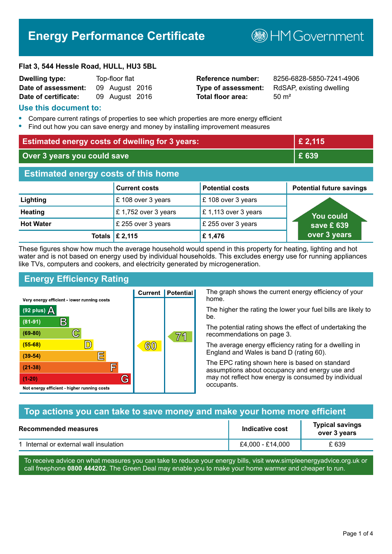# **Energy Performance Certificate**

**B**HMGovernment

#### **Flat 3, 544 Hessle Road, HULL, HU3 5BL**

| <b>Dwelling type:</b> | Top-floor flat |                |  |
|-----------------------|----------------|----------------|--|
| Date of assessment:   |                | 09 August 2016 |  |
| Date of certificate:  |                | 09 August 2016 |  |

# **Total floor area:** 50 m<sup>2</sup>

**Reference number:** 8256-6828-5850-7241-4906 **Type of assessment:** RdSAP, existing dwelling

#### **Use this document to:**

- **•** Compare current ratings of properties to see which properties are more energy efficient
- **•** Find out how you can save energy and money by installing improvement measures

| <b>Estimated energy costs of dwelling for 3 years:</b> |                                 | £ 2,115                |                                 |
|--------------------------------------------------------|---------------------------------|------------------------|---------------------------------|
| Over 3 years you could save                            |                                 | £ 639                  |                                 |
| <b>Estimated energy costs of this home</b>             |                                 |                        |                                 |
|                                                        | <b>Current costs</b>            | <b>Potential costs</b> | <b>Potential future savings</b> |
| Lighting                                               | £ 108 over 3 years              | £108 over 3 years      |                                 |
| <b>Heating</b>                                         | £1,752 over 3 years             | £1,113 over 3 years    | You could                       |
| <b>Hot Water</b>                                       | £ 255 over 3 years              | £ 255 over 3 years     | save £ $639$                    |
|                                                        | Totals $\mathsf{\pounds} 2,115$ | £1,476                 | over 3 years                    |

These figures show how much the average household would spend in this property for heating, lighting and hot water and is not based on energy used by individual households. This excludes energy use for running appliances like TVs, computers and cookers, and electricity generated by microgeneration.

**Current | Potential** 

 $60$ 

# **Energy Efficiency Rating**

 $\mathbb{C}$ 

 $\mathbb{D}$ 

E

庐

G

Very energy efficient - lower running costs

R

Not energy efficient - higher running costs

 $(92$  plus)

 $(81 - 91)$ 

 $(69 - 80)$ 

 $(55-68)$ 

 $(39 - 54)$ 

 $(21-38)$ 

 $(1-20)$ 

- 70

The graph shows the current energy efficiency of your home.

The higher the rating the lower your fuel bills are likely to be.

The potential rating shows the effect of undertaking the recommendations on page 3.

The average energy efficiency rating for a dwelling in England and Wales is band D (rating 60).

The EPC rating shown here is based on standard assumptions about occupancy and energy use and may not reflect how energy is consumed by individual occupants.

# **Top actions you can take to save money and make your home more efficient**

71

| Recommended measures                   | Indicative cost  | <b>Typical savings</b><br>over 3 years |
|----------------------------------------|------------------|----------------------------------------|
| 1 Internal or external wall insulation | £4,000 - £14,000 | £639                                   |

To receive advice on what measures you can take to reduce your energy bills, visit www.simpleenergyadvice.org.uk or call freephone **0800 444202**. The Green Deal may enable you to make your home warmer and cheaper to run.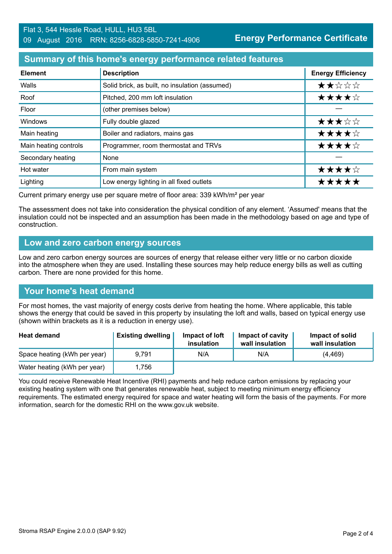# **Summary of this home's energy performance related features**

| <b>Element</b>        | <b>Description</b>                             | <b>Energy Efficiency</b> |
|-----------------------|------------------------------------------------|--------------------------|
| Walls                 | Solid brick, as built, no insulation (assumed) | ★★☆☆☆                    |
| Roof                  | Pitched, 200 mm loft insulation                | ★★★★☆                    |
| Floor                 | (other premises below)                         |                          |
| Windows               | Fully double glazed                            | ★★★☆☆                    |
| Main heating          | Boiler and radiators, mains gas                | ★★★★☆                    |
| Main heating controls | Programmer, room thermostat and TRVs           | ★★★★☆                    |
| Secondary heating     | None                                           |                          |
| Hot water             | From main system                               | ★★★★☆                    |
| Lighting              | Low energy lighting in all fixed outlets       | *****                    |

Current primary energy use per square metre of floor area: 339 kWh/m² per year

The assessment does not take into consideration the physical condition of any element. 'Assumed' means that the insulation could not be inspected and an assumption has been made in the methodology based on age and type of construction.

#### **Low and zero carbon energy sources**

Low and zero carbon energy sources are sources of energy that release either very little or no carbon dioxide into the atmosphere when they are used. Installing these sources may help reduce energy bills as well as cutting carbon. There are none provided for this home.

# **Your home's heat demand**

For most homes, the vast majority of energy costs derive from heating the home. Where applicable, this table shows the energy that could be saved in this property by insulating the loft and walls, based on typical energy use (shown within brackets as it is a reduction in energy use).

| <b>Heat demand</b>           | <b>Existing dwelling</b> | Impact of loft<br>insulation | Impact of cavity<br>wall insulation | Impact of solid<br>wall insulation |
|------------------------------|--------------------------|------------------------------|-------------------------------------|------------------------------------|
| Space heating (kWh per year) | 9.791                    | N/A                          | N/A                                 | (4, 469)                           |
| Water heating (kWh per year) | 1,756                    |                              |                                     |                                    |

You could receive Renewable Heat Incentive (RHI) payments and help reduce carbon emissions by replacing your existing heating system with one that generates renewable heat, subject to meeting minimum energy efficiency requirements. The estimated energy required for space and water heating will form the basis of the payments. For more information, search for the domestic RHI on the www.gov.uk website.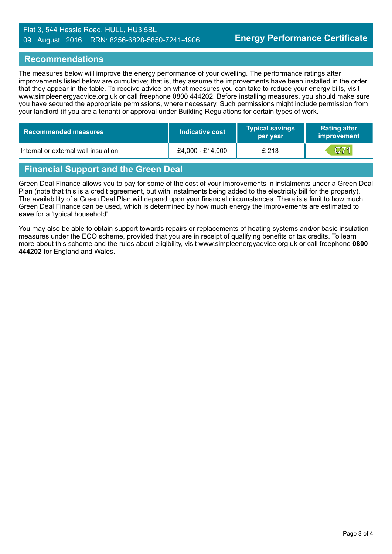#### Flat 3, 544 Hessle Road, HULL, HU3 5BL 09 August 2016 RRN: 8256-6828-5850-7241-4906

#### **Recommendations**

The measures below will improve the energy performance of your dwelling. The performance ratings after improvements listed below are cumulative; that is, they assume the improvements have been installed in the order that they appear in the table. To receive advice on what measures you can take to reduce your energy bills, visit www.simpleenergyadvice.org.uk or call freephone 0800 444202. Before installing measures, you should make sure you have secured the appropriate permissions, where necessary. Such permissions might include permission from your landlord (if you are a tenant) or approval under Building Regulations for certain types of work.

| Recommended measures                 | Indicative cost  | <b>Typical savings</b><br>per year | <b>Rating after</b><br><b>improvement</b> |
|--------------------------------------|------------------|------------------------------------|-------------------------------------------|
| Internal or external wall insulation | £4,000 - £14,000 | £ 213                              | C71                                       |

# **Financial Support and the Green Deal**

Green Deal Finance allows you to pay for some of the cost of your improvements in instalments under a Green Deal Plan (note that this is a credit agreement, but with instalments being added to the electricity bill for the property). The availability of a Green Deal Plan will depend upon your financial circumstances. There is a limit to how much Green Deal Finance can be used, which is determined by how much energy the improvements are estimated to **save** for a 'typical household'.

You may also be able to obtain support towards repairs or replacements of heating systems and/or basic insulation measures under the ECO scheme, provided that you are in receipt of qualifying benefits or tax credits. To learn more about this scheme and the rules about eligibility, visit www.simpleenergyadvice.org.uk or call freephone **0800 444202** for England and Wales.